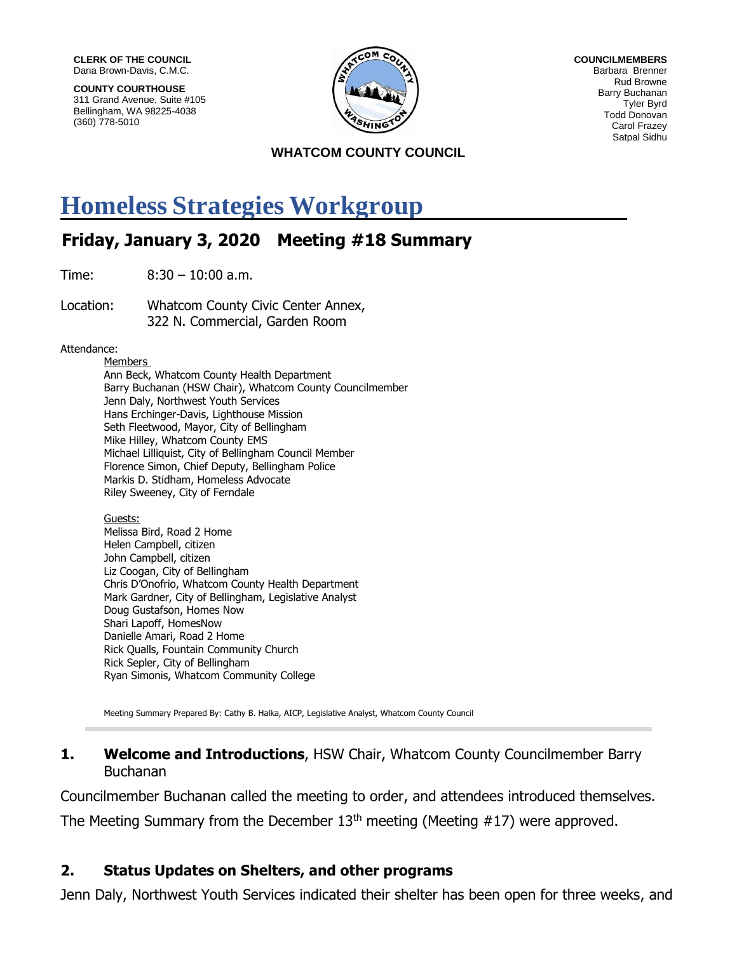**CLERK OF THE COUNCIL** Dana Brown-Davis, C.M.C.

**COUNTY COURTHOUSE** 311 Grand Avenue, Suite #105 Bellingham, WA 98225-4038 (360) 778-5010



**COUNCILMEMBERS** Barbara Brenner Rud Browne Barry Buchanan Tyler Byrd Todd Donovan Carol Frazey Satpal Sidhu

#### **WHATCOM COUNTY COUNCIL**

# **Homeless Strategies Workgroup**

## **Friday, January 3, 2020 Meeting #18 Summary**

Time: 8:30 – 10:00 a.m.

Location: Whatcom County Civic Center Annex, 322 N. Commercial, Garden Room

Attendance:

Members

Ann Beck, Whatcom County Health Department Barry Buchanan (HSW Chair), Whatcom County Councilmember Jenn Daly, Northwest Youth Services Hans Erchinger-Davis, Lighthouse Mission Seth Fleetwood, Mayor, City of Bellingham Mike Hilley, Whatcom County EMS Michael Lilliquist, City of Bellingham Council Member Florence Simon, Chief Deputy, Bellingham Police Markis D. Stidham, Homeless Advocate Riley Sweeney, City of Ferndale

Guests:

Melissa Bird, Road 2 Home Helen Campbell, citizen John Campbell, citizen Liz Coogan, City of Bellingham Chris D'Onofrio, Whatcom County Health Department Mark Gardner, City of Bellingham, Legislative Analyst Doug Gustafson, Homes Now Shari Lapoff, HomesNow Danielle Amari, Road 2 Home Rick Qualls, Fountain Community Church Rick Sepler, City of Bellingham Ryan Simonis, Whatcom Community College

Meeting Summary Prepared By: Cathy B. Halka, AICP, Legislative Analyst, Whatcom County Council

#### **1. Welcome and Introductions**, HSW Chair, Whatcom County Councilmember Barry Buchanan

Councilmember Buchanan called the meeting to order, and attendees introduced themselves.

The Meeting Summary from the December  $13<sup>th</sup>$  meeting (Meeting #17) were approved.

#### **2. Status Updates on Shelters, and other programs**

Jenn Daly, Northwest Youth Services indicated their shelter has been open for three weeks, and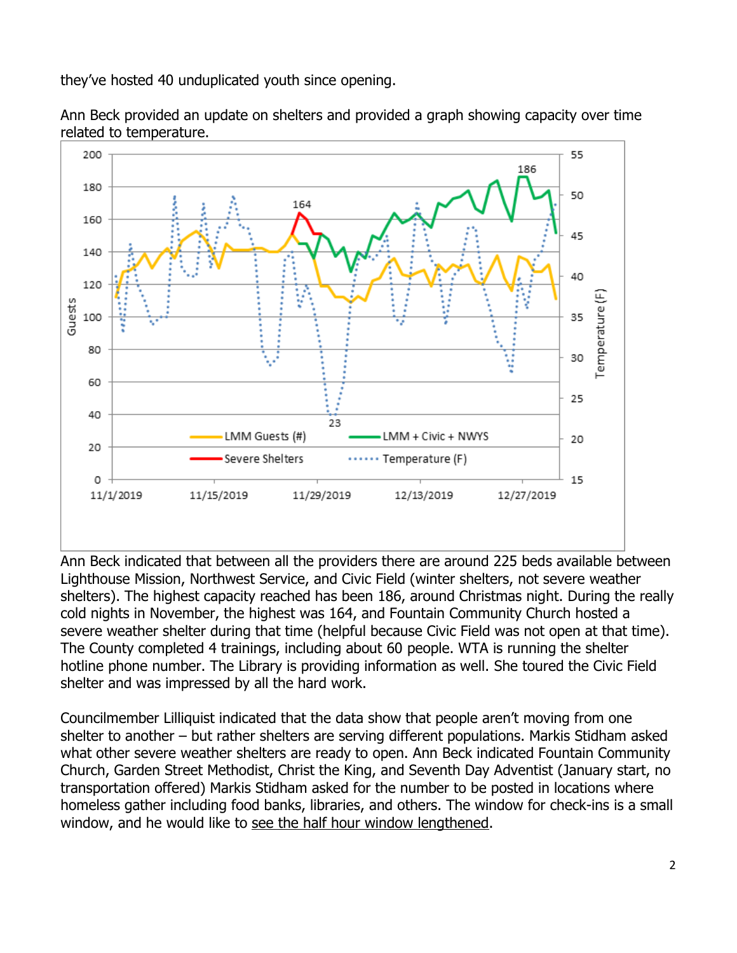they've hosted 40 unduplicated youth since opening.





Ann Beck indicated that between all the providers there are around 225 beds available between Lighthouse Mission, Northwest Service, and Civic Field (winter shelters, not severe weather shelters). The highest capacity reached has been 186, around Christmas night. During the really cold nights in November, the highest was 164, and Fountain Community Church hosted a severe weather shelter during that time (helpful because Civic Field was not open at that time). The County completed 4 trainings, including about 60 people. WTA is running the shelter hotline phone number. The Library is providing information as well. She toured the Civic Field shelter and was impressed by all the hard work.

Councilmember Lilliquist indicated that the data show that people aren't moving from one shelter to another – but rather shelters are serving different populations. Markis Stidham asked what other severe weather shelters are ready to open. Ann Beck indicated Fountain Community Church, Garden Street Methodist, Christ the King, and Seventh Day Adventist (January start, no transportation offered) Markis Stidham asked for the number to be posted in locations where homeless gather including food banks, libraries, and others. The window for check-ins is a small window, and he would like to see the half hour window lengthened.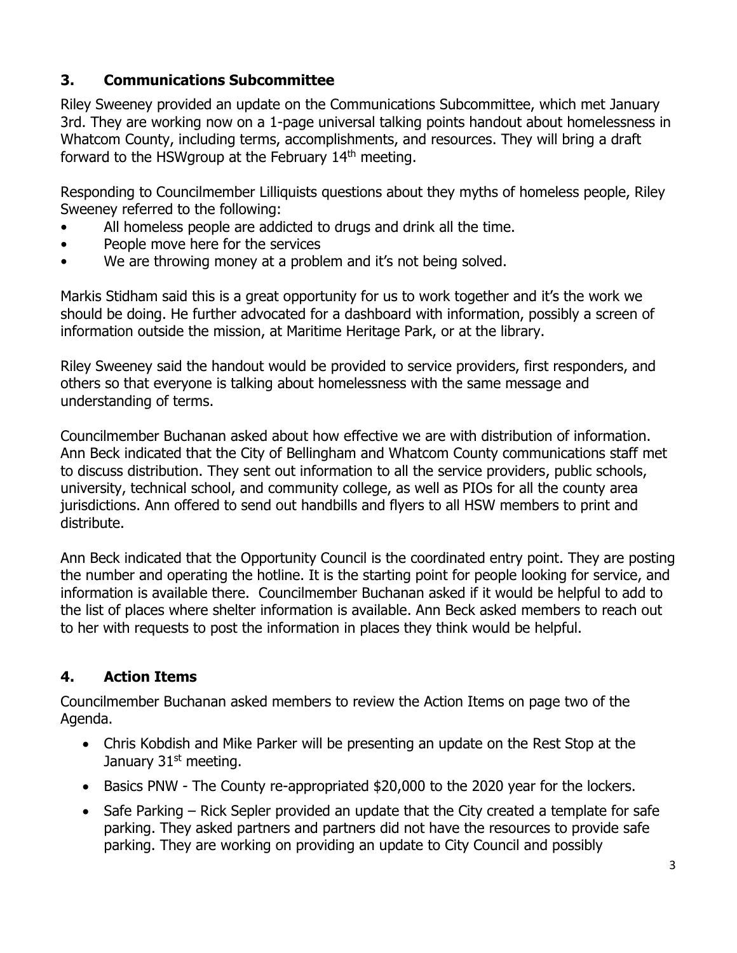### **3. Communications Subcommittee**

Riley Sweeney provided an update on the Communications Subcommittee, which met January 3rd. They are working now on a 1-page universal talking points handout about homelessness in Whatcom County, including terms, accomplishments, and resources. They will bring a draft forward to the HSWgroup at the February 14<sup>th</sup> meeting.

Responding to Councilmember Lilliquists questions about they myths of homeless people, Riley Sweeney referred to the following:

- All homeless people are addicted to drugs and drink all the time.
- People move here for the services
- We are throwing money at a problem and it's not being solved.

Markis Stidham said this is a great opportunity for us to work together and it's the work we should be doing. He further advocated for a dashboard with information, possibly a screen of information outside the mission, at Maritime Heritage Park, or at the library.

Riley Sweeney said the handout would be provided to service providers, first responders, and others so that everyone is talking about homelessness with the same message and understanding of terms.

Councilmember Buchanan asked about how effective we are with distribution of information. Ann Beck indicated that the City of Bellingham and Whatcom County communications staff met to discuss distribution. They sent out information to all the service providers, public schools, university, technical school, and community college, as well as PIOs for all the county area jurisdictions. Ann offered to send out handbills and flyers to all HSW members to print and distribute.

Ann Beck indicated that the Opportunity Council is the coordinated entry point. They are posting the number and operating the hotline. It is the starting point for people looking for service, and information is available there. Councilmember Buchanan asked if it would be helpful to add to the list of places where shelter information is available. Ann Beck asked members to reach out to her with requests to post the information in places they think would be helpful.

## **4. Action Items**

Councilmember Buchanan asked members to review the Action Items on page two of the Agenda.

- Chris Kobdish and Mike Parker will be presenting an update on the Rest Stop at the January  $31<sup>st</sup>$  meeting.
- Basics PNW The County re-appropriated \$20,000 to the 2020 year for the lockers.
- Safe Parking Rick Sepler provided an update that the City created a template for safe parking. They asked partners and partners did not have the resources to provide safe parking. They are working on providing an update to City Council and possibly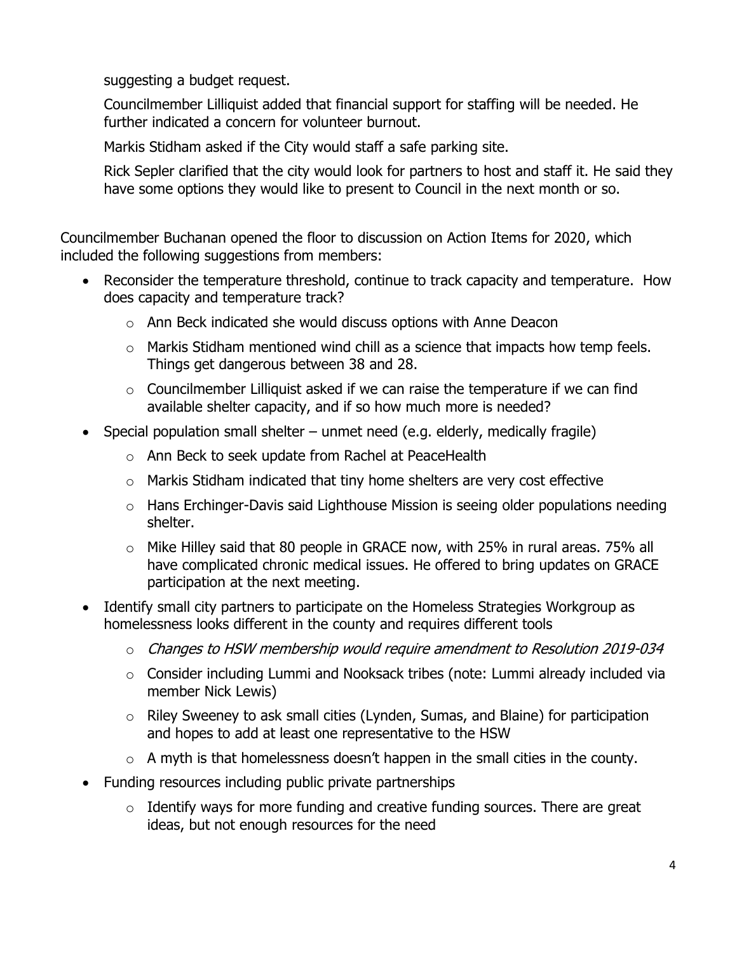suggesting a budget request.

Councilmember Lilliquist added that financial support for staffing will be needed. He further indicated a concern for volunteer burnout.

Markis Stidham asked if the City would staff a safe parking site.

Rick Sepler clarified that the city would look for partners to host and staff it. He said they have some options they would like to present to Council in the next month or so.

Councilmember Buchanan opened the floor to discussion on Action Items for 2020, which included the following suggestions from members:

- Reconsider the temperature threshold, continue to track capacity and temperature. How does capacity and temperature track?
	- o Ann Beck indicated she would discuss options with Anne Deacon
	- o Markis Stidham mentioned wind chill as a science that impacts how temp feels. Things get dangerous between 38 and 28.
	- $\circ$  Councilmember Lilliquist asked if we can raise the temperature if we can find available shelter capacity, and if so how much more is needed?
- Special population small shelter unmet need (e.g. elderly, medically fragile)
	- o Ann Beck to seek update from Rachel at PeaceHealth
	- o Markis Stidham indicated that tiny home shelters are very cost effective
	- o Hans Erchinger-Davis said Lighthouse Mission is seeing older populations needing shelter.
	- o Mike Hilley said that 80 people in GRACE now, with 25% in rural areas. 75% all have complicated chronic medical issues. He offered to bring updates on GRACE participation at the next meeting.
- Identify small city partners to participate on the Homeless Strategies Workgroup as homelessness looks different in the county and requires different tools
	- o Changes to HSW membership would require amendment to Resolution 2019-034
	- o Consider including Lummi and Nooksack tribes (note: Lummi already included via member Nick Lewis)
	- o Riley Sweeney to ask small cities (Lynden, Sumas, and Blaine) for participation and hopes to add at least one representative to the HSW
	- $\circ$  A myth is that homelessness doesn't happen in the small cities in the county.
- Funding resources including public private partnerships
	- $\circ$  Identify ways for more funding and creative funding sources. There are great ideas, but not enough resources for the need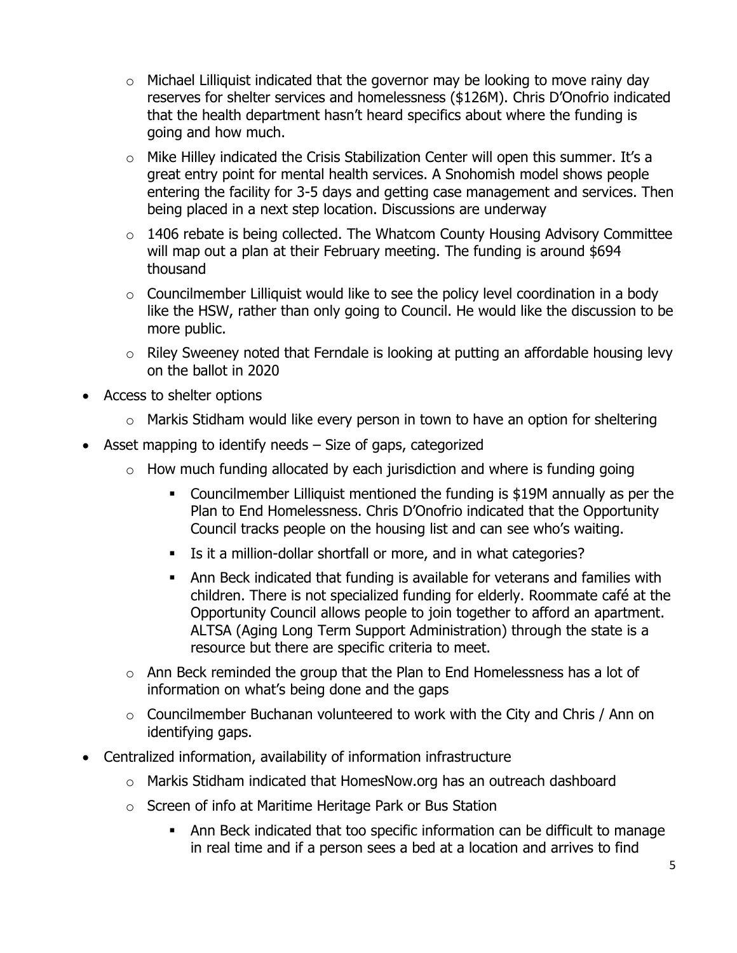- $\circ$  Michael Lilliquist indicated that the governor may be looking to move rainy day reserves for shelter services and homelessness (\$126M). Chris D'Onofrio indicated that the health department hasn't heard specifics about where the funding is going and how much.
- o Mike Hilley indicated the Crisis Stabilization Center will open this summer. It's a great entry point for mental health services. A Snohomish model shows people entering the facility for 3-5 days and getting case management and services. Then being placed in a next step location. Discussions are underway
- $\circ$  1406 rebate is being collected. The Whatcom County Housing Advisory Committee will map out a plan at their February meeting. The funding is around \$694 thousand
- $\circ$  Councilmember Lilliquist would like to see the policy level coordination in a body like the HSW, rather than only going to Council. He would like the discussion to be more public.
- $\circ$  Riley Sweeney noted that Ferndale is looking at putting an affordable housing levy on the ballot in 2020
- Access to shelter options
	- o Markis Stidham would like every person in town to have an option for sheltering
- Asset mapping to identify needs Size of gaps, categorized
	- $\circ$  How much funding allocated by each jurisdiction and where is funding going
		- Councilmember Lilliquist mentioned the funding is \$19M annually as per the Plan to End Homelessness. Chris D'Onofrio indicated that the Opportunity Council tracks people on the housing list and can see who's waiting.
		- **EXTE:** Is it a million-dollar shortfall or more, and in what categories?
		- **EXT** Ann Beck indicated that funding is available for veterans and families with children. There is not specialized funding for elderly. Roommate café at the Opportunity Council allows people to join together to afford an apartment. ALTSA (Aging Long Term Support Administration) through the state is a resource but there are specific criteria to meet.
	- $\circ$  Ann Beck reminded the group that the Plan to End Homelessness has a lot of information on what's being done and the gaps
	- o Councilmember Buchanan volunteered to work with the City and Chris / Ann on identifying gaps.
- Centralized information, availability of information infrastructure
	- o Markis Stidham indicated that HomesNow.org has an outreach dashboard
	- o Screen of info at Maritime Heritage Park or Bus Station
		- **Ann Beck indicated that too specific information can be difficult to manage** in real time and if a person sees a bed at a location and arrives to find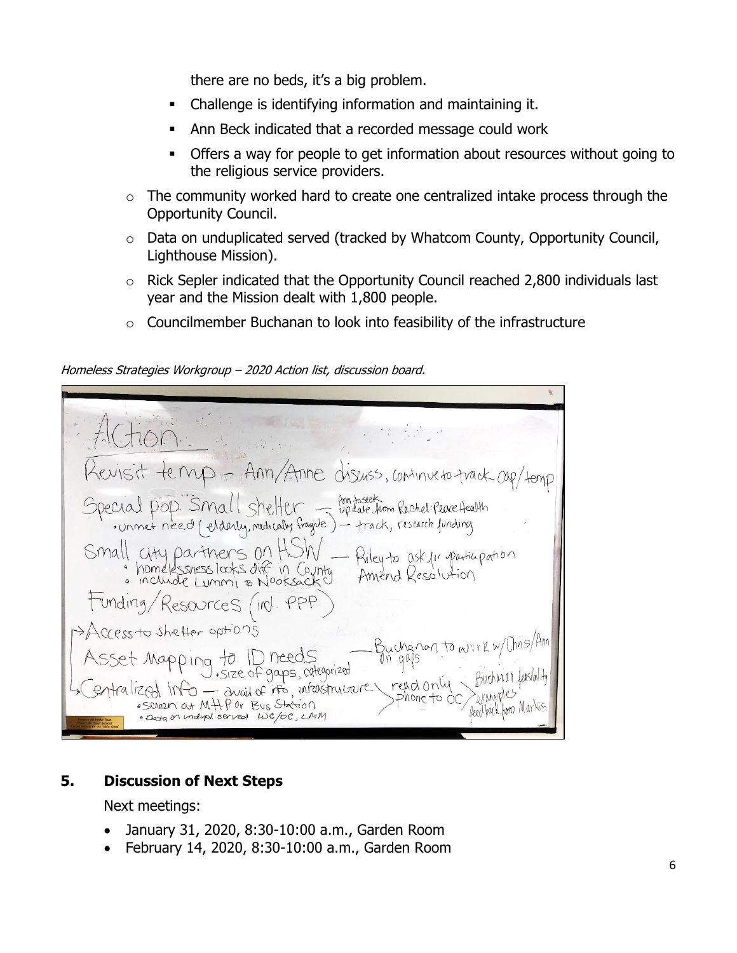there are no beds, it's a big problem.

- Challenge is identifying information and maintaining it.
- Ann Beck indicated that a recorded message could work
- **Offers a way for people to get information about resources without going to** the religious service providers.
- $\circ$  The community worked hard to create one centralized intake process through the Opportunity Council.
- o Data on unduplicated served (tracked by Whatcom County, Opportunity Council, Lighthouse Mission).
- o Rick Sepler indicated that the Opportunity Council reached 2,800 individuals last year and the Mission dealt with 1,800 people.
- o Councilmember Buchanan to look into feasibility of the infrastructure

Homeless Strategies Workgroup – 2020 Action list, discussion board.

terrip - Ann/Anne discuss, continue to track ap/temp rial pop. Small shelter fontaget<br>unnet need (erdenly, mudically fragile) - track, research funding Special pop. Small Small city partners on HSW.<br>: homelessness looks diff in County<br>: include Lummi & Nooksacky Riley to DSK 11 participation (Ind. PPP Funding/Resources CCess to shelter options Bucharon to w to ID needs<br>size of gaps, categorized Mapping to On gaps a lized info - avail of info, infastructure read only  $P^{\text{hOne}}$  to Scheen at MHP or Bus Station leed back how Mar . Data on undup! served wc/OC, LMM

#### **5. Discussion of Next Steps**

Next meetings:

- January 31, 2020, 8:30-10:00 a.m., Garden Room
- February 14, 2020, 8:30-10:00 a.m., Garden Room